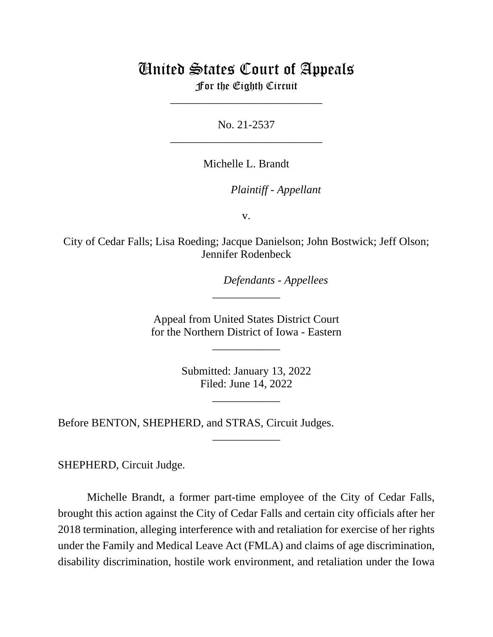# United States Court of Appeals

For the Eighth Circuit \_\_\_\_\_\_\_\_\_\_\_\_\_\_\_\_\_\_\_\_\_\_\_\_\_\_\_

No. 21-2537 \_\_\_\_\_\_\_\_\_\_\_\_\_\_\_\_\_\_\_\_\_\_\_\_\_\_\_

Michelle L. Brandt

*Plaintiff - Appellant*

v.

City of Cedar Falls; Lisa Roeding; Jacque Danielson; John Bostwick; Jeff Olson; Jennifer Rodenbeck

*Defendants - Appellees*

Appeal from United States District Court for the Northern District of Iowa - Eastern

\_\_\_\_\_\_\_\_\_\_\_\_

\_\_\_\_\_\_\_\_\_\_\_\_

Submitted: January 13, 2022 Filed: June 14, 2022

\_\_\_\_\_\_\_\_\_\_\_\_

\_\_\_\_\_\_\_\_\_\_\_\_

Before BENTON, SHEPHERD, and STRAS, Circuit Judges.

SHEPHERD, Circuit Judge.

Michelle Brandt, a former part-time employee of the City of Cedar Falls, brought this action against the City of Cedar Falls and certain city officials after her 2018 termination, alleging interference with and retaliation for exercise of her rights under the Family and Medical Leave Act (FMLA) and claims of age discrimination, disability discrimination, hostile work environment, and retaliation under the Iowa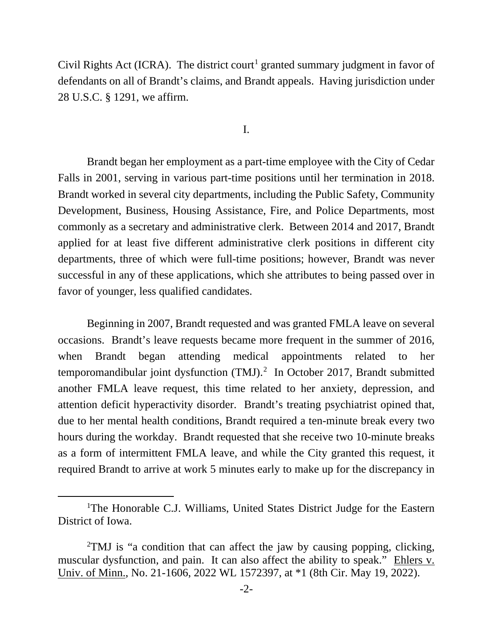Civil Rights Act (ICRA). The district court<sup>[1](#page-1-0)</sup> granted summary judgment in favor of defendants on all of Brandt's claims, and Brandt appeals. Having jurisdiction under 28 U.S.C. § 1291, we affirm.

I.

Brandt began her employment as a part-time employee with the City of Cedar Falls in 2001, serving in various part-time positions until her termination in 2018. Brandt worked in several city departments, including the Public Safety, Community Development, Business, Housing Assistance, Fire, and Police Departments, most commonly as a secretary and administrative clerk. Between 2014 and 2017, Brandt applied for at least five different administrative clerk positions in different city departments, three of which were full-time positions; however, Brandt was never successful in any of these applications, which she attributes to being passed over in favor of younger, less qualified candidates.

Beginning in 2007, Brandt requested and was granted FMLA leave on several occasions. Brandt's leave requests became more frequent in the summer of 2016, when Brandt began attending medical appointments related to her temporomandibular joint dysfunction (TMJ). [2](#page-1-1) In October 2017, Brandt submitted another FMLA leave request, this time related to her anxiety, depression, and attention deficit hyperactivity disorder. Brandt's treating psychiatrist opined that, due to her mental health conditions, Brandt required a ten-minute break every two hours during the workday. Brandt requested that she receive two 10-minute breaks as a form of intermittent FMLA leave, and while the City granted this request, it required Brandt to arrive at work 5 minutes early to make up for the discrepancy in

<span id="page-1-0"></span><sup>&</sup>lt;sup>1</sup>The Honorable C.J. Williams, United States District Judge for the Eastern District of Iowa.

<span id="page-1-1"></span><sup>&</sup>lt;sup>2</sup>TMJ is "a condition that can affect the jaw by causing popping, clicking, muscular dysfunction, and pain. It can also affect the ability to speak." Ehlers v. Univ. of Minn., No. 21-1606, 2022 WL 1572397, at \*1 (8th Cir. May 19, 2022).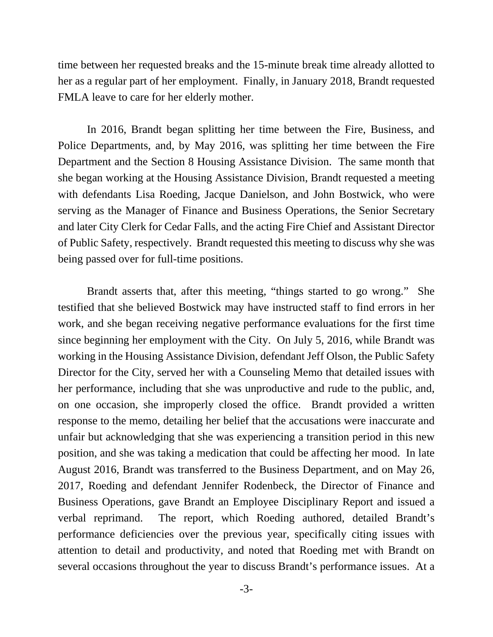time between her requested breaks and the 15-minute break time already allotted to her as a regular part of her employment. Finally, in January 2018, Brandt requested FMLA leave to care for her elderly mother.

In 2016, Brandt began splitting her time between the Fire, Business, and Police Departments, and, by May 2016, was splitting her time between the Fire Department and the Section 8 Housing Assistance Division. The same month that she began working at the Housing Assistance Division, Brandt requested a meeting with defendants Lisa Roeding, Jacque Danielson, and John Bostwick, who were serving as the Manager of Finance and Business Operations, the Senior Secretary and later City Clerk for Cedar Falls, and the acting Fire Chief and Assistant Director of Public Safety, respectively. Brandt requested this meeting to discuss why she was being passed over for full-time positions.

Brandt asserts that, after this meeting, "things started to go wrong." She testified that she believed Bostwick may have instructed staff to find errors in her work, and she began receiving negative performance evaluations for the first time since beginning her employment with the City. On July 5, 2016, while Brandt was working in the Housing Assistance Division, defendant Jeff Olson, the Public Safety Director for the City, served her with a Counseling Memo that detailed issues with her performance, including that she was unproductive and rude to the public, and, on one occasion, she improperly closed the office. Brandt provided a written response to the memo, detailing her belief that the accusations were inaccurate and unfair but acknowledging that she was experiencing a transition period in this new position, and she was taking a medication that could be affecting her mood. In late August 2016, Brandt was transferred to the Business Department, and on May 26, 2017, Roeding and defendant Jennifer Rodenbeck, the Director of Finance and Business Operations, gave Brandt an Employee Disciplinary Report and issued a verbal reprimand. The report, which Roeding authored, detailed Brandt's performance deficiencies over the previous year, specifically citing issues with attention to detail and productivity, and noted that Roeding met with Brandt on several occasions throughout the year to discuss Brandt's performance issues. At a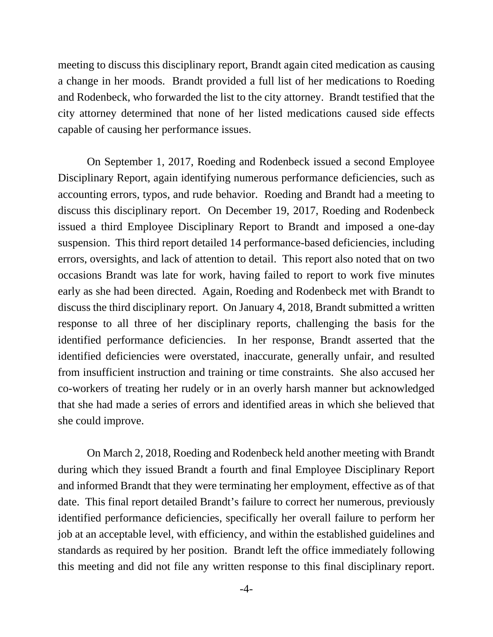meeting to discuss this disciplinary report, Brandt again cited medication as causing a change in her moods. Brandt provided a full list of her medications to Roeding and Rodenbeck, who forwarded the list to the city attorney. Brandt testified that the city attorney determined that none of her listed medications caused side effects capable of causing her performance issues.

On September 1, 2017, Roeding and Rodenbeck issued a second Employee Disciplinary Report, again identifying numerous performance deficiencies, such as accounting errors, typos, and rude behavior. Roeding and Brandt had a meeting to discuss this disciplinary report. On December 19, 2017, Roeding and Rodenbeck issued a third Employee Disciplinary Report to Brandt and imposed a one-day suspension. This third report detailed 14 performance-based deficiencies, including errors, oversights, and lack of attention to detail. This report also noted that on two occasions Brandt was late for work, having failed to report to work five minutes early as she had been directed. Again, Roeding and Rodenbeck met with Brandt to discuss the third disciplinary report. On January 4, 2018, Brandt submitted a written response to all three of her disciplinary reports, challenging the basis for the identified performance deficiencies. In her response, Brandt asserted that the identified deficiencies were overstated, inaccurate, generally unfair, and resulted from insufficient instruction and training or time constraints. She also accused her co-workers of treating her rudely or in an overly harsh manner but acknowledged that she had made a series of errors and identified areas in which she believed that she could improve.

On March 2, 2018, Roeding and Rodenbeck held another meeting with Brandt during which they issued Brandt a fourth and final Employee Disciplinary Report and informed Brandt that they were terminating her employment, effective as of that date. This final report detailed Brandt's failure to correct her numerous, previously identified performance deficiencies, specifically her overall failure to perform her job at an acceptable level, with efficiency, and within the established guidelines and standards as required by her position. Brandt left the office immediately following this meeting and did not file any written response to this final disciplinary report.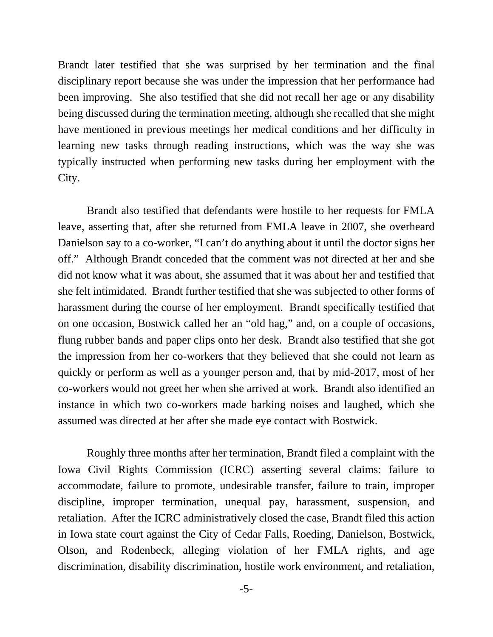Brandt later testified that she was surprised by her termination and the final disciplinary report because she was under the impression that her performance had been improving. She also testified that she did not recall her age or any disability being discussed during the termination meeting, although she recalled that she might have mentioned in previous meetings her medical conditions and her difficulty in learning new tasks through reading instructions, which was the way she was typically instructed when performing new tasks during her employment with the City.

Brandt also testified that defendants were hostile to her requests for FMLA leave, asserting that, after she returned from FMLA leave in 2007, she overheard Danielson say to a co-worker, "I can't do anything about it until the doctor signs her off." Although Brandt conceded that the comment was not directed at her and she did not know what it was about, she assumed that it was about her and testified that she felt intimidated. Brandt further testified that she was subjected to other forms of harassment during the course of her employment. Brandt specifically testified that on one occasion, Bostwick called her an "old hag," and, on a couple of occasions, flung rubber bands and paper clips onto her desk. Brandt also testified that she got the impression from her co-workers that they believed that she could not learn as quickly or perform as well as a younger person and, that by mid-2017, most of her co-workers would not greet her when she arrived at work. Brandt also identified an instance in which two co-workers made barking noises and laughed, which she assumed was directed at her after she made eye contact with Bostwick.

Roughly three months after her termination, Brandt filed a complaint with the Iowa Civil Rights Commission (ICRC) asserting several claims: failure to accommodate, failure to promote, undesirable transfer, failure to train, improper discipline, improper termination, unequal pay, harassment, suspension, and retaliation. After the ICRC administratively closed the case, Brandt filed this action in Iowa state court against the City of Cedar Falls, Roeding, Danielson, Bostwick, Olson, and Rodenbeck, alleging violation of her FMLA rights, and age discrimination, disability discrimination, hostile work environment, and retaliation,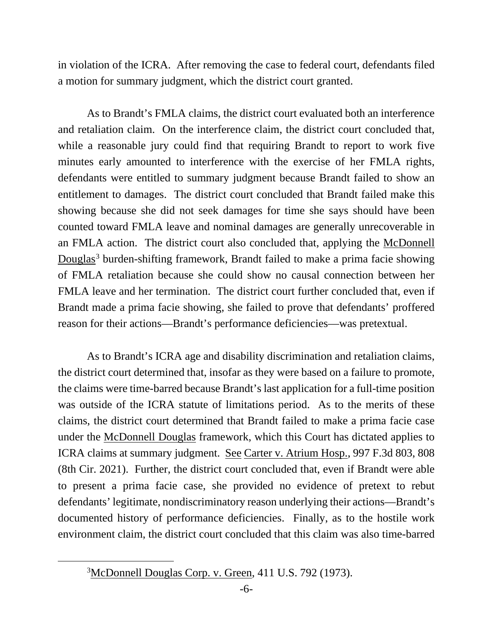in violation of the ICRA. After removing the case to federal court, defendants filed a motion for summary judgment, which the district court granted.

As to Brandt's FMLA claims, the district court evaluated both an interference and retaliation claim. On the interference claim, the district court concluded that, while a reasonable jury could find that requiring Brandt to report to work five minutes early amounted to interference with the exercise of her FMLA rights, defendants were entitled to summary judgment because Brandt failed to show an entitlement to damages. The district court concluded that Brandt failed make this showing because she did not seek damages for time she says should have been counted toward FMLA leave and nominal damages are generally unrecoverable in an FMLA action. The district court also concluded that, applying the McDonnell Douglas<sup>[3](#page-5-0)</sup> burden-shifting framework, Brandt failed to make a prima facie showing of FMLA retaliation because she could show no causal connection between her FMLA leave and her termination. The district court further concluded that, even if Brandt made a prima facie showing, she failed to prove that defendants' proffered reason for their actions—Brandt's performance deficiencies—was pretextual.

 As to Brandt's ICRA age and disability discrimination and retaliation claims, the district court determined that, insofar as they were based on a failure to promote, the claims were time-barred because Brandt's last application for a full-time position was outside of the ICRA statute of limitations period. As to the merits of these claims, the district court determined that Brandt failed to make a prima facie case under the McDonnell Douglas framework, which this Court has dictated applies to ICRA claims at summary judgment. See Carter v. Atrium Hosp., 997 F.3d 803, 808 (8th Cir. 2021). Further, the district court concluded that, even if Brandt were able to present a prima facie case, she provided no evidence of pretext to rebut defendants' legitimate, nondiscriminatory reason underlying their actions—Brandt's documented history of performance deficiencies. Finally, as to the hostile work environment claim, the district court concluded that this claim was also time-barred

<span id="page-5-0"></span><sup>&</sup>lt;sup>3</sup>McDonnell Douglas Corp. v. Green, 411 U.S. 792 (1973).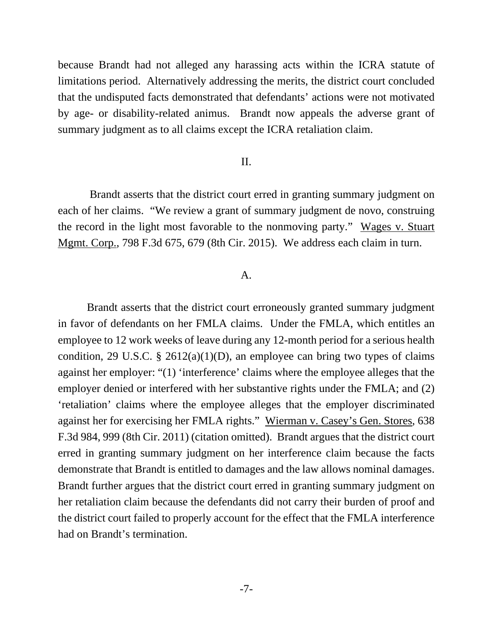because Brandt had not alleged any harassing acts within the ICRA statute of limitations period. Alternatively addressing the merits, the district court concluded that the undisputed facts demonstrated that defendants' actions were not motivated by age- or disability-related animus. Brandt now appeals the adverse grant of summary judgment as to all claims except the ICRA retaliation claim.

## II.

 Brandt asserts that the district court erred in granting summary judgment on each of her claims. "We review a grant of summary judgment de novo, construing the record in the light most favorable to the nonmoving party." Wages v. Stuart Mgmt. Corp., 798 F.3d 675, 679 (8th Cir. 2015). We address each claim in turn.

#### A.

Brandt asserts that the district court erroneously granted summary judgment in favor of defendants on her FMLA claims. Under the FMLA, which entitles an employee to 12 work weeks of leave during any 12-month period for a serious health condition, 29 U.S.C. § 2612(a)(1)(D), an employee can bring two types of claims against her employer: "(1) 'interference' claims where the employee alleges that the employer denied or interfered with her substantive rights under the FMLA; and (2) 'retaliation' claims where the employee alleges that the employer discriminated against her for exercising her FMLA rights." Wierman v. Casey's Gen. Stores, 638 F.3d 984, 999 (8th Cir. 2011) (citation omitted). Brandt argues that the district court erred in granting summary judgment on her interference claim because the facts demonstrate that Brandt is entitled to damages and the law allows nominal damages. Brandt further argues that the district court erred in granting summary judgment on her retaliation claim because the defendants did not carry their burden of proof and the district court failed to properly account for the effect that the FMLA interference had on Brandt's termination.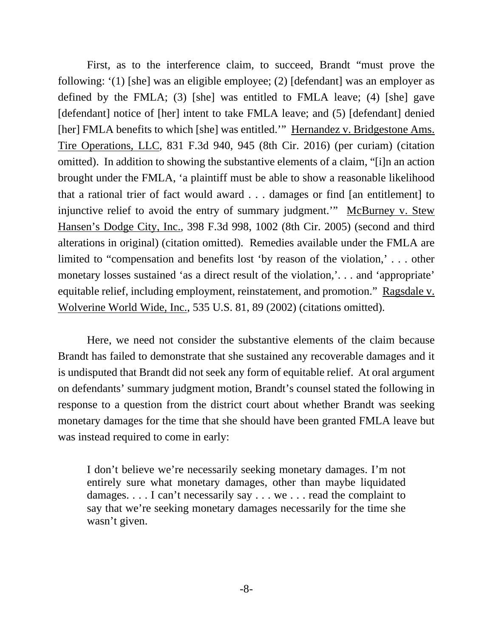First, as to the interference claim, to succeed, Brandt "must prove the following: '(1) [she] was an eligible employee; (2) [defendant] was an employer as defined by the FMLA; (3) [she] was entitled to FMLA leave; (4) [she] gave [defendant] notice of [her] intent to take FMLA leave; and (5) [defendant] denied [her] FMLA benefits to which [she] was entitled." Hernandez v. Bridgestone Ams. Tire Operations, LLC, 831 F.3d 940, 945 (8th Cir. 2016) (per curiam) (citation omitted). In addition to showing the substantive elements of a claim, "[i]n an action brought under the FMLA, 'a plaintiff must be able to show a reasonable likelihood that a rational trier of fact would award . . . damages or find [an entitlement] to injunctive relief to avoid the entry of summary judgment.'" McBurney v. Stew Hansen's Dodge City, Inc., 398 F.3d 998, 1002 (8th Cir. 2005) (second and third alterations in original) (citation omitted). Remedies available under the FMLA are limited to "compensation and benefits lost 'by reason of the violation,' . . . other monetary losses sustained 'as a direct result of the violation,'. . . and 'appropriate' equitable relief, including employment, reinstatement, and promotion." Ragsdale v. Wolverine World Wide, Inc., 535 U.S. 81, 89 (2002) (citations omitted).

Here, we need not consider the substantive elements of the claim because Brandt has failed to demonstrate that she sustained any recoverable damages and it is undisputed that Brandt did not seek any form of equitable relief. At oral argument on defendants' summary judgment motion, Brandt's counsel stated the following in response to a question from the district court about whether Brandt was seeking monetary damages for the time that she should have been granted FMLA leave but was instead required to come in early:

I don't believe we're necessarily seeking monetary damages. I'm not entirely sure what monetary damages, other than maybe liquidated damages. . . . I can't necessarily say . . . we . . . read the complaint to say that we're seeking monetary damages necessarily for the time she wasn't given.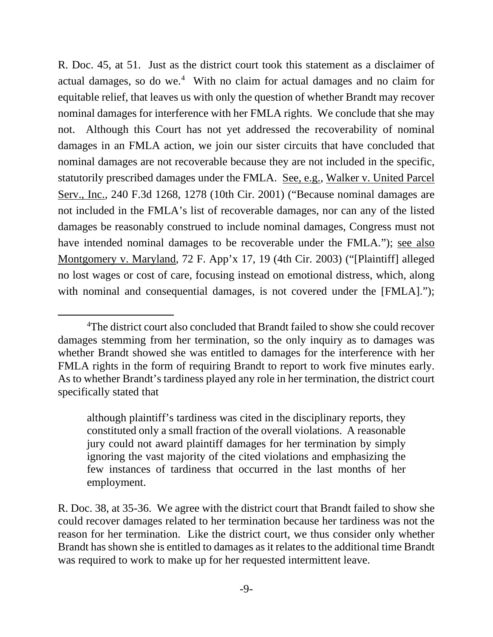R. Doc. 45, at 51. Just as the district court took this statement as a disclaimer of actual damages, so do we.<sup>[4](#page-8-0)</sup> With no claim for actual damages and no claim for equitable relief, that leaves us with only the question of whether Brandt may recover nominal damages for interference with her FMLA rights. We conclude that she may not. Although this Court has not yet addressed the recoverability of nominal damages in an FMLA action, we join our sister circuits that have concluded that nominal damages are not recoverable because they are not included in the specific, statutorily prescribed damages under the FMLA. See, e.g., Walker v. United Parcel Serv., Inc., 240 F.3d 1268, 1278 (10th Cir. 2001) ("Because nominal damages are not included in the FMLA's list of recoverable damages, nor can any of the listed damages be reasonably construed to include nominal damages, Congress must not have intended nominal damages to be recoverable under the FMLA."); see also Montgomery v. Maryland, 72 F. App'x 17, 19 (4th Cir. 2003) ("[Plaintiff] alleged no lost wages or cost of care, focusing instead on emotional distress, which, along with nominal and consequential damages, is not covered under the [FMLA].");

although plaintiff's tardiness was cited in the disciplinary reports, they constituted only a small fraction of the overall violations. A reasonable jury could not award plaintiff damages for her termination by simply ignoring the vast majority of the cited violations and emphasizing the few instances of tardiness that occurred in the last months of her employment.

<span id="page-8-0"></span><sup>&</sup>lt;sup>4</sup>The district court also concluded that Brandt failed to show she could recover damages stemming from her termination, so the only inquiry as to damages was whether Brandt showed she was entitled to damages for the interference with her FMLA rights in the form of requiring Brandt to report to work five minutes early. As to whether Brandt's tardiness played any role in her termination, the district court specifically stated that

R. Doc. 38, at 35-36. We agree with the district court that Brandt failed to show she could recover damages related to her termination because her tardiness was not the reason for her termination. Like the district court, we thus consider only whether Brandt has shown she is entitled to damages as it relates to the additional time Brandt was required to work to make up for her requested intermittent leave.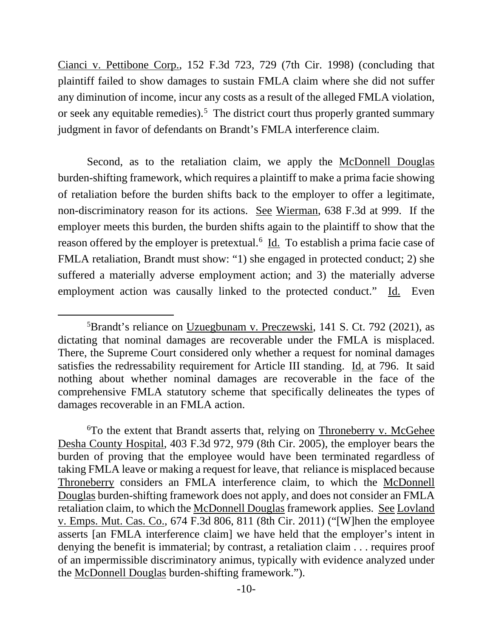Cianci v. Pettibone Corp., 152 F.3d 723, 729 (7th Cir. 1998) (concluding that plaintiff failed to show damages to sustain FMLA claim where she did not suffer any diminution of income, incur any costs as a result of the alleged FMLA violation, or seek any equitable remedies).<sup>[5](#page-9-0)</sup> The district court thus properly granted summary judgment in favor of defendants on Brandt's FMLA interference claim.

Second, as to the retaliation claim, we apply the McDonnell Douglas burden-shifting framework, which requires a plaintiff to make a prima facie showing of retaliation before the burden shifts back to the employer to offer a legitimate, non-discriminatory reason for its actions. See Wierman, 638 F.3d at 999. If the employer meets this burden, the burden shifts again to the plaintiff to show that the reason offered by the employer is pretextual.<sup>[6](#page-9-1)</sup> Id. To establish a prima facie case of FMLA retaliation, Brandt must show: "1) she engaged in protected conduct; 2) she suffered a materially adverse employment action; and 3) the materially adverse employment action was causally linked to the protected conduct." Id. Even

<span id="page-9-0"></span><sup>&</sup>lt;sup>5</sup>Brandt's reliance on Uzuegbunam v. Preczewski, 141 S. Ct. 792 (2021), as dictating that nominal damages are recoverable under the FMLA is misplaced. There, the Supreme Court considered only whether a request for nominal damages satisfies the redressability requirement for Article III standing. Id. at 796. It said nothing about whether nominal damages are recoverable in the face of the comprehensive FMLA statutory scheme that specifically delineates the types of damages recoverable in an FMLA action.

<span id="page-9-1"></span><sup>&</sup>lt;sup>6</sup>To the extent that Brandt asserts that, relying on Throneberry v. McGehee Desha County Hospital, 403 F.3d 972, 979 (8th Cir. 2005), the employer bears the burden of proving that the employee would have been terminated regardless of taking FMLA leave or making a request for leave, that reliance is misplaced because Throneberry considers an FMLA interference claim, to which the McDonnell Douglas burden-shifting framework does not apply, and does not consider an FMLA retaliation claim, to which the McDonnell Douglas framework applies. See Lovland v. Emps. Mut. Cas. Co., 674 F.3d 806, 811 (8th Cir. 2011) ("[W]hen the employee asserts [an FMLA interference claim] we have held that the employer's intent in denying the benefit is immaterial; by contrast, a retaliation claim . . . requires proof of an impermissible discriminatory animus, typically with evidence analyzed under the McDonnell Douglas burden-shifting framework.").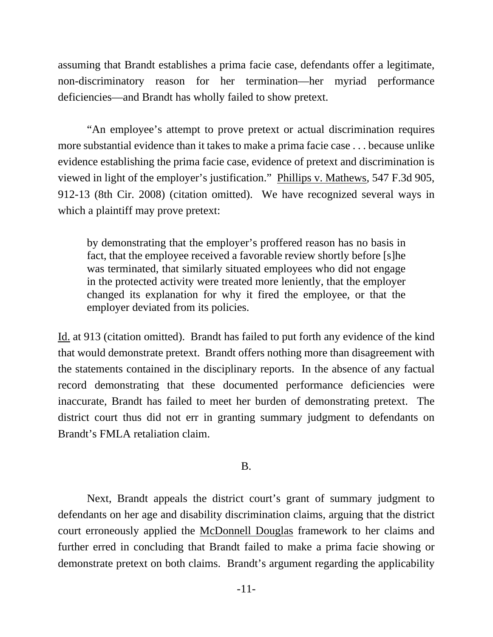assuming that Brandt establishes a prima facie case, defendants offer a legitimate, non-discriminatory reason for her termination—her myriad performance deficiencies—and Brandt has wholly failed to show pretext.

"An employee's attempt to prove pretext or actual discrimination requires more substantial evidence than it takes to make a prima facie case . . . because unlike evidence establishing the prima facie case, evidence of pretext and discrimination is viewed in light of the employer's justification." Phillips v. Mathews, 547 F.3d 905, 912-13 (8th Cir. 2008) (citation omitted). We have recognized several ways in which a plaintiff may prove pretext:

by demonstrating that the employer's proffered reason has no basis in fact, that the employee received a favorable review shortly before [s]he was terminated, that similarly situated employees who did not engage in the protected activity were treated more leniently, that the employer changed its explanation for why it fired the employee, or that the employer deviated from its policies.

Id. at 913 (citation omitted). Brandt has failed to put forth any evidence of the kind that would demonstrate pretext. Brandt offers nothing more than disagreement with the statements contained in the disciplinary reports. In the absence of any factual record demonstrating that these documented performance deficiencies were inaccurate, Brandt has failed to meet her burden of demonstrating pretext. The district court thus did not err in granting summary judgment to defendants on Brandt's FMLA retaliation claim.

# B.

Next, Brandt appeals the district court's grant of summary judgment to defendants on her age and disability discrimination claims, arguing that the district court erroneously applied the McDonnell Douglas framework to her claims and further erred in concluding that Brandt failed to make a prima facie showing or demonstrate pretext on both claims. Brandt's argument regarding the applicability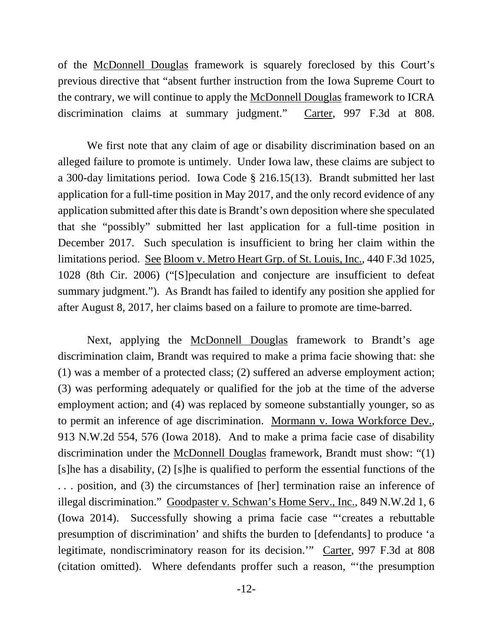of the McDonnell Douglas framework is squarely foreclosed by this Court's previous directive that "absent further instruction from the Iowa Supreme Court to the contrary, we will continue to apply the McDonnell Douglas framework to ICRA discrimination claims at summary judgment." Carter, 997 F.3d at 808.

We first note that any claim of age or disability discrimination based on an alleged failure to promote is untimely. Under Iowa law, these claims are subject to a 300-day limitations period. Iowa Code § 216.15(13). Brandt submitted her last application for a full-time position in May 2017, and the only record evidence of any application submitted after this date is Brandt's own deposition where she speculated that she "possibly" submitted her last application for a full-time position in December 2017. Such speculation is insufficient to bring her claim within the limitations period. See Bloom v. Metro Heart Grp. of St. Louis, Inc., 440 F.3d 1025, 1028 (8th Cir. 2006) ("[S]peculation and conjecture are insufficient to defeat summary judgment."). As Brandt has failed to identify any position she applied for after August 8, 2017, her claims based on a failure to promote are time-barred.

Next, applying the McDonnell Douglas framework to Brandt's age discrimination claim, Brandt was required to make a prima facie showing that: she (1) was a member of a protected class; (2) suffered an adverse employment action; (3) was performing adequately or qualified for the job at the time of the adverse employment action; and (4) was replaced by someone substantially younger, so as to permit an inference of age discrimination. Mormann v. Iowa Workforce Dev., 913 N.W.2d 554, 576 (Iowa 2018). And to make a prima facie case of disability discrimination under the McDonnell Douglas framework, Brandt must show: "(1) [s]he has a disability, (2) [s]he is qualified to perform the essential functions of the . . . position, and (3) the circumstances of [her] termination raise an inference of illegal discrimination." Goodpaster v. Schwan's Home Serv., Inc., 849 N.W.2d 1, 6 (Iowa 2014). Successfully showing a prima facie case "'creates a rebuttable presumption of discrimination' and shifts the burden to [defendants] to produce 'a legitimate, nondiscriminatory reason for its decision.'" Carter, 997 F.3d at 808 (citation omitted). Where defendants proffer such a reason, "'the presumption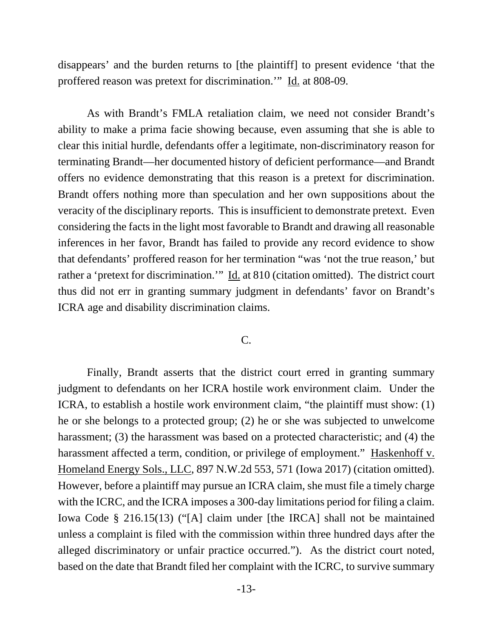disappears' and the burden returns to [the plaintiff] to present evidence 'that the proffered reason was pretext for discrimination.'" Id. at 808-09.

As with Brandt's FMLA retaliation claim, we need not consider Brandt's ability to make a prima facie showing because, even assuming that she is able to clear this initial hurdle, defendants offer a legitimate, non-discriminatory reason for terminating Brandt—her documented history of deficient performance—and Brandt offers no evidence demonstrating that this reason is a pretext for discrimination. Brandt offers nothing more than speculation and her own suppositions about the veracity of the disciplinary reports. This is insufficient to demonstrate pretext. Even considering the facts in the light most favorable to Brandt and drawing all reasonable inferences in her favor, Brandt has failed to provide any record evidence to show that defendants' proffered reason for her termination "was 'not the true reason,' but rather a 'pretext for discrimination.'" Id. at 810 (citation omitted). The district court thus did not err in granting summary judgment in defendants' favor on Brandt's ICRA age and disability discrimination claims.

## C.

Finally, Brandt asserts that the district court erred in granting summary judgment to defendants on her ICRA hostile work environment claim. Under the ICRA, to establish a hostile work environment claim, "the plaintiff must show: (1) he or she belongs to a protected group; (2) he or she was subjected to unwelcome harassment; (3) the harassment was based on a protected characteristic; and (4) the harassment affected a term, condition, or privilege of employment." Haskenhoff v. Homeland Energy Sols., LLC, 897 N.W.2d 553, 571 (Iowa 2017) (citation omitted). However, before a plaintiff may pursue an ICRA claim, she must file a timely charge with the ICRC, and the ICRA imposes a 300-day limitations period for filing a claim. Iowa Code § 216.15(13) ("[A] claim under [the IRCA] shall not be maintained unless a complaint is filed with the commission within three hundred days after the alleged discriminatory or unfair practice occurred."). As the district court noted, based on the date that Brandt filed her complaint with the ICRC, to survive summary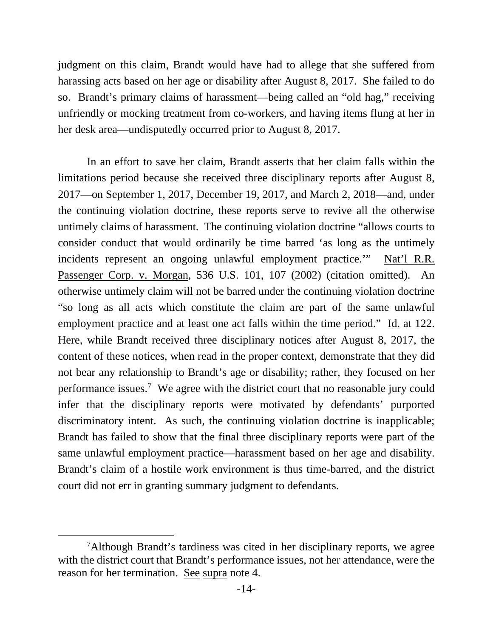judgment on this claim, Brandt would have had to allege that she suffered from harassing acts based on her age or disability after August 8, 2017. She failed to do so. Brandt's primary claims of harassment—being called an "old hag," receiving unfriendly or mocking treatment from co-workers, and having items flung at her in her desk area—undisputedly occurred prior to August 8, 2017.

In an effort to save her claim, Brandt asserts that her claim falls within the limitations period because she received three disciplinary reports after August 8, 2017—on September 1, 2017, December 19, 2017, and March 2, 2018—and, under the continuing violation doctrine, these reports serve to revive all the otherwise untimely claims of harassment. The continuing violation doctrine "allows courts to consider conduct that would ordinarily be time barred 'as long as the untimely incidents represent an ongoing unlawful employment practice.'" Nat'l R.R. Passenger Corp. v. Morgan, 536 U.S. 101, 107 (2002) (citation omitted). An otherwise untimely claim will not be barred under the continuing violation doctrine "so long as all acts which constitute the claim are part of the same unlawful employment practice and at least one act falls within the time period." Id. at 122. Here, while Brandt received three disciplinary notices after August 8, 2017, the content of these notices, when read in the proper context, demonstrate that they did not bear any relationship to Brandt's age or disability; rather, they focused on her performance issues.<sup>[7](#page-13-0)</sup> We agree with the district court that no reasonable jury could infer that the disciplinary reports were motivated by defendants' purported discriminatory intent. As such, the continuing violation doctrine is inapplicable; Brandt has failed to show that the final three disciplinary reports were part of the same unlawful employment practice—harassment based on her age and disability. Brandt's claim of a hostile work environment is thus time-barred, and the district court did not err in granting summary judgment to defendants.

<span id="page-13-0"></span><sup>&</sup>lt;sup>7</sup>Although Brandt's tardiness was cited in her disciplinary reports, we agree with the district court that Brandt's performance issues, not her attendance, were the reason for her termination. See supra note 4.